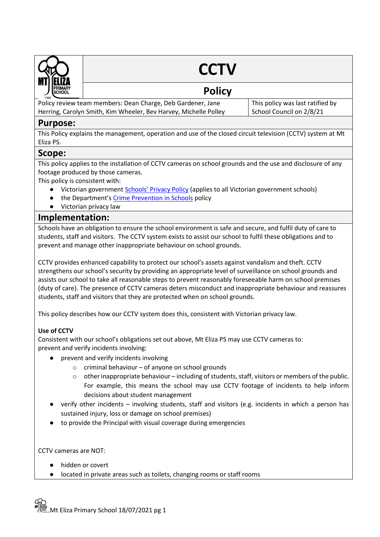

# **CCTV**

## **Policy**

Policy review team members: Dean Charge, Deb Gardener, Jane Herring, Carolyn Smith, Kim Wheeler, Bev Harvey, Michelle Polley This policy was last ratified by School Council on 2/8/21

## **Purpose:**

This Policy explains the management, operation and use of the closed circuit television (CCTV) system at Mt Eliza PS.

## **Scope:**

This policy applies to the installation of CCTV cameras on school grounds and the use and disclosure of any footage produced by those cameras.

This policy is consistent with:

- Victorian government [Schools' Privacy Policy](https://www.education.vic.gov.au/Pages/schoolsprivacypolicy.aspx) (applies to all Victorian government schools)
- the Department's [Crime Prevention in Schools](https://www2.education.vic.gov.au/pal/crime-prevention-schools/policy) policy
- Victorian privacy law

## **Implementation:**

Schools have an obligation to ensure the school environment is safe and secure, and fulfil duty of care to students, staff and visitors. The CCTV system exists to assist our school to fulfil these obligations and to prevent and manage other inappropriate behaviour on school grounds.

CCTV provides enhanced capability to protect our school's assets against vandalism and theft. CCTV strengthens our school's security by providing an appropriate level of surveillance on school grounds and assists our school to take all reasonable steps to prevent reasonably foreseeable harm on school premises (duty of care). The presence of CCTV cameras deters misconduct and inappropriate behaviour and reassures students, staff and visitors that they are protected when on school grounds.

This policy describes how our CCTV system does this, consistent with Victorian privacy law.

## **Use of CCTV**

Consistent with our school's obligations set out above, Mt Eliza PS may use CCTV cameras to: prevent and verify incidents involving:

- prevent and verify incidents involving
	- $\circ$  criminal behaviour of anyone on school grounds
	- $\circ$  other inappropriate behaviour including of students, staff, visitors or members of the public. For example, this means the school may use CCTV footage of incidents to help inform decisions about student management
- verify other incidents involving students, staff and visitors (e.g. incidents in which a person has sustained injury, loss or damage on school premises)
- to provide the Principal with visual coverage during emergencies

CCTV cameras are NOT:

- hidden or covert
- located in private areas such as toilets, changing rooms or staff rooms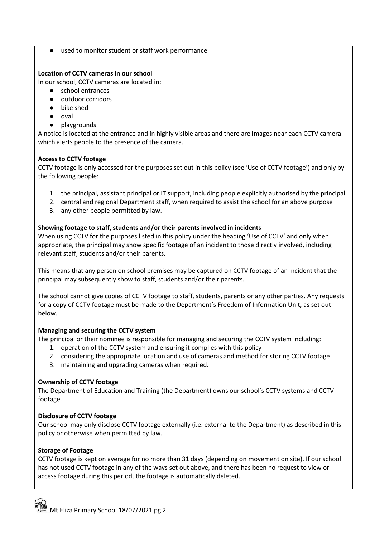● used to monitor student or staff work performance

#### **Location of CCTV cameras in our school**

In our school, CCTV cameras are located in:

- school entrances
- outdoor corridors
- bike shed
- oval
- playgrounds

A notice is located at the entrance and in highly visible areas and there are images near each CCTV camera which alerts people to the presence of the camera.

#### **Access to CCTV footage**

CCTV footage is only accessed for the purposes set out in this policy (see 'Use of CCTV footage') and only by the following people:

- 1. the principal, assistant principal or IT support, including people explicitly authorised by the principal
- 2. central and regional Department staff, when required to assist the school for an above purpose
- 3. any other people permitted by law.

#### **Showing footage to staff, students and/or their parents involved in incidents**

When using CCTV for the purposes listed in this policy under the heading 'Use of CCTV' and only when appropriate, the principal may show specific footage of an incident to those directly involved, including relevant staff, students and/or their parents.

This means that any person on school premises may be captured on CCTV footage of an incident that the principal may subsequently show to staff, students and/or their parents.

The school cannot give copies of CCTV footage to staff, students, parents or any other parties. Any requests for a copy of CCTV footage must be made to the Department's Freedom of Information Unit, as set out below.

#### **Managing and securing the CCTV system**

The principal or their nominee is responsible for managing and securing the CCTV system including:

- 1. operation of the CCTV system and ensuring it complies with this policy
- 2. considering the appropriate location and use of cameras and method for storing CCTV footage
- 3. maintaining and upgrading cameras when required.

#### **Ownership of CCTV footage**

The Department of Education and Training (the Department) owns our school's CCTV systems and CCTV footage.

#### **Disclosure of CCTV footage**

Our school may only disclose CCTV footage externally (i.e. external to the Department) as described in this policy or otherwise when permitted by law.

#### **Storage of Footage**

CCTV footage is kept on average for no more than 31 days (depending on movement on site). If our school has not used CCTV footage in any of the ways set out above, and there has been no request to view or access footage during this period, the footage is automatically deleted.